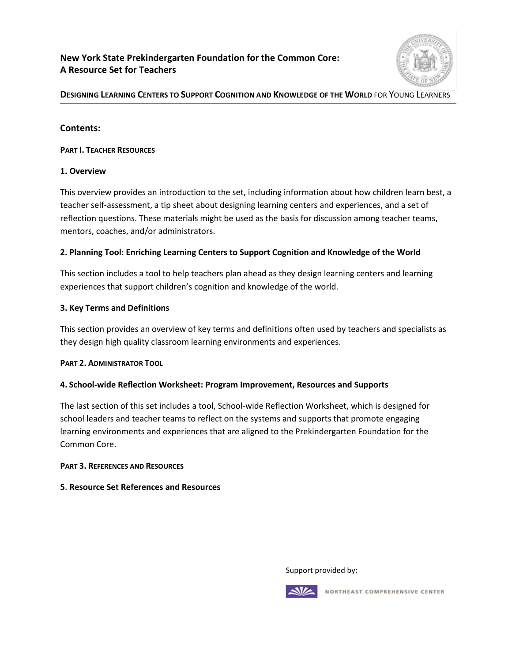### **New York State Prekindergarten Foundation for the Common Core: A Resource Set for Teachers**



#### **DESIGNING LEARNING CENTERS TO SUPPORT COGNITION AND KNOWLEDGE OF THE WORLD** FOR YOUNG LEARNERS

#### **Contents:**

#### **PART I. TEACHER RESOURCES**

#### **1. Overview**

This overview provides an introduction to the set, including information about how children learn best, a teacher self-assessment, a tip sheet about designing learning centers and experiences, and a set of reflection questions. These materials might be used as the basis for discussion among teacher teams, mentors, coaches, and/or administrators.

#### **2. Planning Tool: Enriching Learning Centers to Support Cognition and Knowledge of the World**

This section includes a tool to help teachers plan ahead as they design learning centers and learning experiences that support children's cognition and knowledge of the world.

#### **3. Key Terms and Definitions**

This section provides an overview of key terms and definitions often used by teachers and specialists as they design high quality classroom learning environments and experiences.

#### **PART 2. ADMINISTRATOR TOOL**

#### **4. School-wide Reflection Worksheet: Program Improvement, Resources and Supports**

The last section of this set includes a tool, School-wide Reflection Worksheet, which is designed for school leaders and teacher teams to reflect on the systems and supports that promote engaging learning environments and experiences that are aligned to the Prekindergarten Foundation for the Common Core.

#### **PART 3. REFERENCES AND RESOURCES**

#### **5. Resource Set References and Resources**

Support provided by:



NORTHEAST COMPREHENSIVE CENTER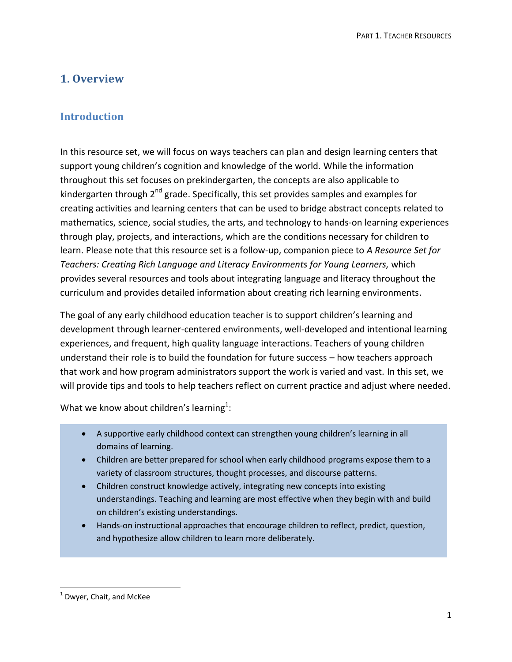# **1. Overview**

# **Introduction**

In this resource set, we will focus on ways teachers can plan and design learning centers that support young children's cognition and knowledge of the world. While the information throughout this set focuses on prekindergarten, the concepts are also applicable to kindergarten through  $2<sup>nd</sup>$  grade. Specifically, this set provides samples and examples for creating activities and learning centers that can be used to bridge abstract concepts related to mathematics, science, social studies, the arts, and technology to hands-on learning experiences through play, projects, and interactions, which are the conditions necessary for children to learn. Please note that this resource set is a follow-up, companion piece to *A Resource Set for Teachers: Creating Rich Language and Literacy Environments for Young Learners,* which provides several resources and tools about integrating language and literacy throughout the curriculum and provides detailed information about creating rich learning environments.

The goal of any early childhood education teacher is to support children's learning and development through learner-centered environments, well-developed and intentional learning experiences, and frequent, high quality language interactions. Teachers of young children understand their role is to build the foundation for future success – how teachers approach that work and how program administrators support the work is varied and vast. In this set, we will provide tips and tools to help teachers reflect on current practice and adjust where needed.

What we know about children's learning $^1$ :

- A supportive early childhood context can strengthen young children's learning in all domains of learning.
- Children are better prepared for school when early childhood programs expose them to a variety of classroom structures, thought processes, and discourse patterns.
- Children construct knowledge actively, integrating new concepts into existing understandings. Teaching and learning are most effective when they begin with and build on children's existing understandings.
- Hands-on instructional approaches that encourage children to reflect, predict, question, and hypothesize allow children to learn more deliberately.

 $\overline{\phantom{a}}$ 

 $<sup>1</sup>$  Dwyer, Chait, and McKee</sup>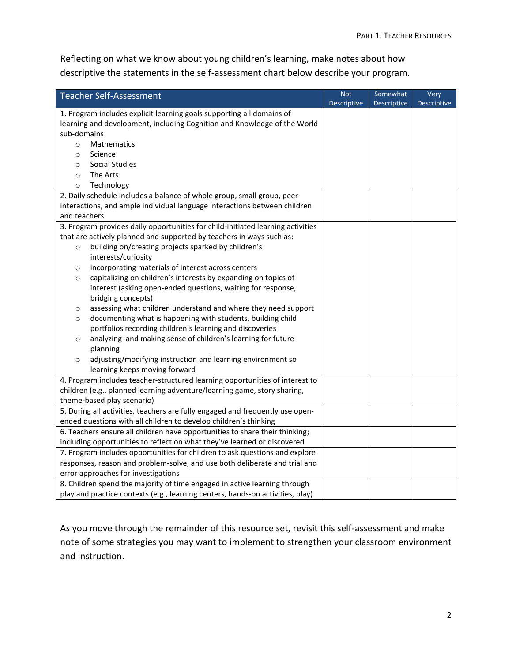Reflecting on what we know about young children's learning, make notes about how descriptive the statements in the self-assessment chart below describe your program.

| <b>Teacher Self-Assessment</b>                                                  | <b>Not</b>         | Somewhat           | Very               |  |  |
|---------------------------------------------------------------------------------|--------------------|--------------------|--------------------|--|--|
|                                                                                 | <b>Descriptive</b> | <b>Descriptive</b> | <b>Descriptive</b> |  |  |
| 1. Program includes explicit learning goals supporting all domains of           |                    |                    |                    |  |  |
| learning and development, including Cognition and Knowledge of the World        |                    |                    |                    |  |  |
| sub-domains:                                                                    |                    |                    |                    |  |  |
| <b>Mathematics</b><br>$\circ$                                                   |                    |                    |                    |  |  |
| Science<br>$\circ$                                                              |                    |                    |                    |  |  |
| <b>Social Studies</b><br>$\circ$                                                |                    |                    |                    |  |  |
| The Arts<br>$\circ$                                                             |                    |                    |                    |  |  |
| Technology<br>$\circ$                                                           |                    |                    |                    |  |  |
| 2. Daily schedule includes a balance of whole group, small group, peer          |                    |                    |                    |  |  |
| interactions, and ample individual language interactions between children       |                    |                    |                    |  |  |
| and teachers                                                                    |                    |                    |                    |  |  |
| 3. Program provides daily opportunities for child-initiated learning activities |                    |                    |                    |  |  |
| that are actively planned and supported by teachers in ways such as:            |                    |                    |                    |  |  |
| building on/creating projects sparked by children's<br>$\circ$                  |                    |                    |                    |  |  |
| interests/curiosity                                                             |                    |                    |                    |  |  |
| incorporating materials of interest across centers<br>$\circ$                   |                    |                    |                    |  |  |
| capitalizing on children's interests by expanding on topics of<br>$\circ$       |                    |                    |                    |  |  |
| interest (asking open-ended questions, waiting for response,                    |                    |                    |                    |  |  |
| bridging concepts)                                                              |                    |                    |                    |  |  |
| assessing what children understand and where they need support<br>$\circ$       |                    |                    |                    |  |  |
| documenting what is happening with students, building child<br>$\circ$          |                    |                    |                    |  |  |
| portfolios recording children's learning and discoveries                        |                    |                    |                    |  |  |
| analyzing and making sense of children's learning for future<br>$\circ$         |                    |                    |                    |  |  |
| planning                                                                        |                    |                    |                    |  |  |
| adjusting/modifying instruction and learning environment so<br>$\circ$          |                    |                    |                    |  |  |
| learning keeps moving forward                                                   |                    |                    |                    |  |  |
| 4. Program includes teacher-structured learning opportunities of interest to    |                    |                    |                    |  |  |
| children (e.g., planned learning adventure/learning game, story sharing,        |                    |                    |                    |  |  |
| theme-based play scenario)                                                      |                    |                    |                    |  |  |
| 5. During all activities, teachers are fully engaged and frequently use open-   |                    |                    |                    |  |  |
| ended questions with all children to develop children's thinking                |                    |                    |                    |  |  |
| 6. Teachers ensure all children have opportunities to share their thinking;     |                    |                    |                    |  |  |
| including opportunities to reflect on what they've learned or discovered        |                    |                    |                    |  |  |
| 7. Program includes opportunities for children to ask questions and explore     |                    |                    |                    |  |  |
| responses, reason and problem-solve, and use both deliberate and trial and      |                    |                    |                    |  |  |
| error approaches for investigations                                             |                    |                    |                    |  |  |
| 8. Children spend the majority of time engaged in active learning through       |                    |                    |                    |  |  |
| play and practice contexts (e.g., learning centers, hands-on activities, play)  |                    |                    |                    |  |  |

As you move through the remainder of this resource set, revisit this self-assessment and make note of some strategies you may want to implement to strengthen your classroom environment and instruction.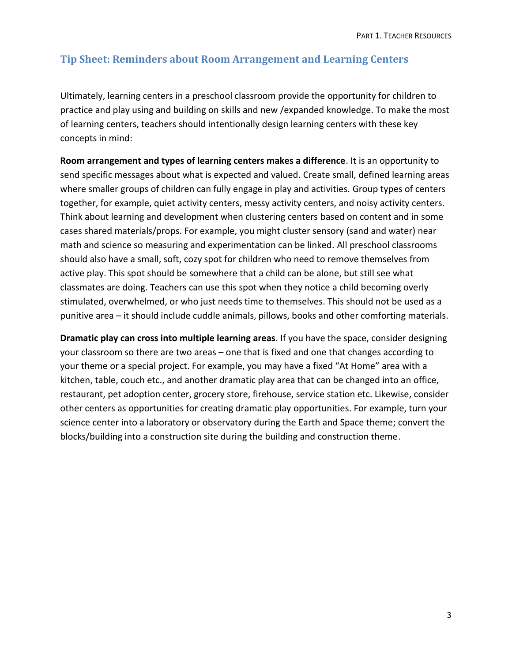### **Tip Sheet: Reminders about Room Arrangement and Learning Centers**

Ultimately, learning centers in a preschool classroom provide the opportunity for children to practice and play using and building on skills and new /expanded knowledge. To make the most of learning centers, teachers should intentionally design learning centers with these key concepts in mind:

**Room arrangement and types of learning centers makes a difference**. It is an opportunity to send specific messages about what is expected and valued. Create small, defined learning areas where smaller groups of children can fully engage in play and activities. Group types of centers together, for example, quiet activity centers, messy activity centers, and noisy activity centers. Think about learning and development when clustering centers based on content and in some cases shared materials/props. For example, you might cluster sensory (sand and water) near math and science so measuring and experimentation can be linked. All preschool classrooms should also have a small, soft, cozy spot for children who need to remove themselves from active play. This spot should be somewhere that a child can be alone, but still see what classmates are doing. Teachers can use this spot when they notice a child becoming overly stimulated, overwhelmed, or who just needs time to themselves. This should not be used as a punitive area – it should include cuddle animals, pillows, books and other comforting materials.

**Dramatic play can cross into multiple learning areas**. If you have the space, consider designing your classroom so there are two areas – one that is fixed and one that changes according to your theme or a special project. For example, you may have a fixed "At Home" area with a kitchen, table, couch etc., and another dramatic play area that can be changed into an office, restaurant, pet adoption center, grocery store, firehouse, service station etc. Likewise, consider other centers as opportunities for creating dramatic play opportunities. For example, turn your science center into a laboratory or observatory during the Earth and Space theme; convert the blocks/building into a construction site during the building and construction theme.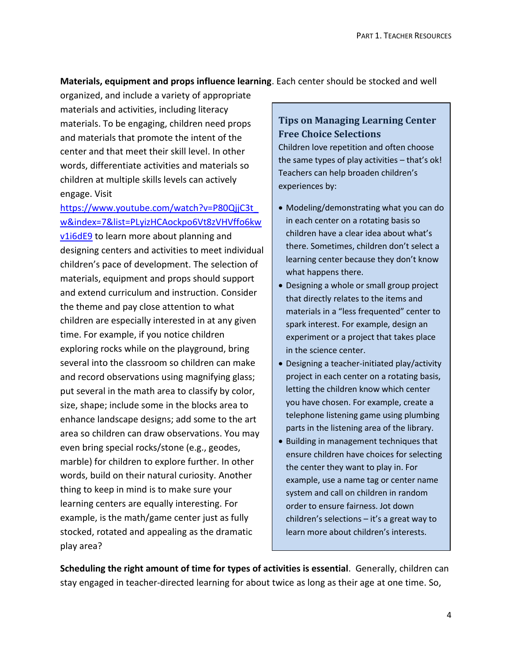#### **Materials, equipment and props influence learning**. Each center should be stocked and well

organized, and include a variety of appropriate materials and activities, including literacy materials. To be engaging, children need props and materials that promote the intent of the center and that meet their skill level. In other words, differentiate activities and materials so children at multiple skills levels can actively engage. Visit

## [https://www.youtube.com/watch?v=P80QjjC3t\\_](https://www.youtube.com/watch?v=P80QjjC3t_w&index=7&list=PLyizHCAockpo6Vt8zVHVffo6kwv1i6dE9) [w&index=7&list=PLyizHCAockpo6Vt8zVHVffo6kw](https://www.youtube.com/watch?v=P80QjjC3t_w&index=7&list=PLyizHCAockpo6Vt8zVHVffo6kwv1i6dE9)

[v1i6dE9](https://www.youtube.com/watch?v=P80QjjC3t_w&index=7&list=PLyizHCAockpo6Vt8zVHVffo6kwv1i6dE9) to learn more about planning and designing centers and activities to meet individual children's pace of development. The selection of materials, equipment and props should support and extend curriculum and instruction. Consider the theme and pay close attention to what children are especially interested in at any given time. For example, if you notice children exploring rocks while on the playground, bring several into the classroom so children can make and record observations using magnifying glass; put several in the math area to classify by color, size, shape; include some in the blocks area to enhance landscape designs; add some to the art area so children can draw observations. You may even bring special rocks/stone (e.g., geodes, marble) for children to explore further. In other words, build on their natural curiosity. Another thing to keep in mind is to make sure your learning centers are equally interesting. For example, is the math/game center just as fully stocked, rotated and appealing as the dramatic play area?

# **Tips on Managing Learning Center Free Choice Selections**

Children love repetition and often choose the same types of play activities – that's ok! Teachers can help broaden children's experiences by:

- Modeling/demonstrating what you can do in each center on a rotating basis so children have a clear idea about what's there. Sometimes, children don't select a learning center because they don't know what happens there.
- Designing a whole or small group project that directly relates to the items and materials in a "less frequented" center to spark interest. For example, design an experiment or a project that takes place in the science center.
- Designing a teacher-initiated play/activity project in each center on a rotating basis, letting the children know which center you have chosen. For example, create a telephone listening game using plumbing parts in the listening area of the library.
- Building in management techniques that ensure children have choices for selecting the center they want to play in. For example, use a name tag or center name system and call on children in random order to ensure fairness. Jot down children's selections – it's a great way to learn more about children's interests.

**Scheduling the right amount of time for types of activities is essential**. Generally, children can stay engaged in teacher-directed learning for about twice as long as their age at one time. So,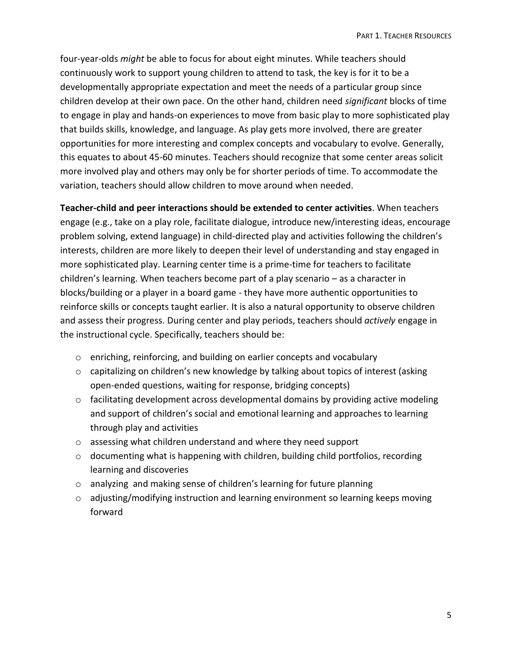four-year-olds *might* be able to focus for about eight minutes. While teachers should continuously work to support young children to attend to task, the key is for it to be a developmentally appropriate expectation and meet the needs of a particular group since children develop at their own pace. On the other hand, children need *significant* blocks of time to engage in play and hands-on experiences to move from basic play to more sophisticated play that builds skills, knowledge, and language. As play gets more involved, there are greater opportunities for more interesting and complex concepts and vocabulary to evolve. Generally, this equates to about 45-60 minutes. Teachers should recognize that some center areas solicit more involved play and others may only be for shorter periods of time. To accommodate the variation, teachers should allow children to move around when needed.

**Teacher-child and peer interactions should be extended to center activities**. When teachers engage (e.g., take on a play role, facilitate dialogue, introduce new/interesting ideas, encourage problem solving, extend language) in child-directed play and activities following the children's interests, children are more likely to deepen their level of understanding and stay engaged in more sophisticated play. Learning center time is a prime-time for teachers to facilitate children's learning. When teachers become part of a play scenario – as a character in blocks/building or a player in a board game - they have more authentic opportunities to reinforce skills or concepts taught earlier. It is also a natural opportunity to observe children and assess their progress. During center and play periods, teachers should *actively* engage in the instructional cycle. Specifically, teachers should be:

- o enriching, reinforcing, and building on earlier concepts and vocabulary
- o capitalizing on children's new knowledge by talking about topics of interest (asking open-ended questions, waiting for response, bridging concepts)
- o facilitating development across developmental domains by providing active modeling and support of children's social and emotional learning and approaches to learning through play and activities
- o assessing what children understand and where they need support
- o documenting what is happening with children, building child portfolios, recording learning and discoveries
- o analyzing and making sense of children's learning for future planning
- $\circ$  adjusting/modifying instruction and learning environment so learning keeps moving forward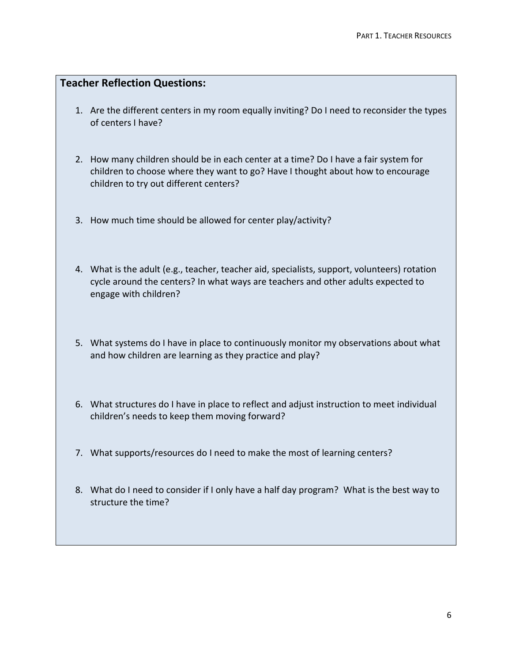### **Teacher Reflection Questions:**

- 1. Are the different centers in my room equally inviting? Do I need to reconsider the types of centers I have?
- 2. How many children should be in each center at a time? Do I have a fair system for children to choose where they want to go? Have I thought about how to encourage children to try out different centers?
- 3. How much time should be allowed for center play/activity?
- 4. What is the adult (e.g., teacher, teacher aid, specialists, support, volunteers) rotation cycle around the centers? In what ways are teachers and other adults expected to engage with children?
- 5. What systems do I have in place to continuously monitor my observations about what and how children are learning as they practice and play?
- 6. What structures do I have in place to reflect and adjust instruction to meet individual children's needs to keep them moving forward?
- 7. What supports/resources do I need to make the most of learning centers?
- 8. What do I need to consider if I only have a half day program? What is the best way to structure the time?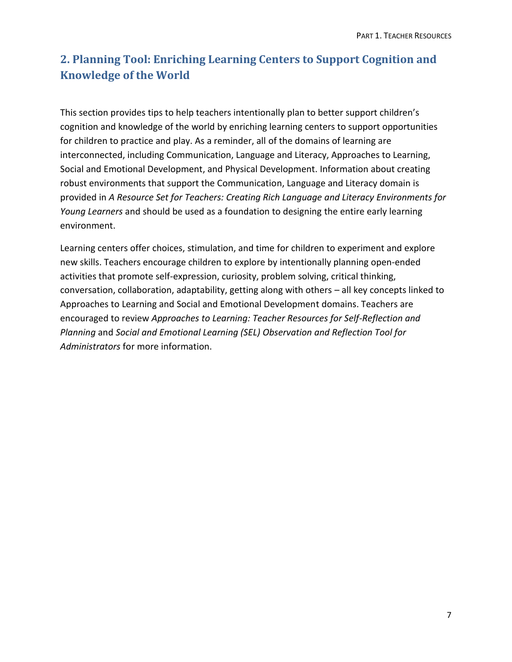# **2. Planning Tool: Enriching Learning Centers to Support Cognition and Knowledge of the World**

This section provides tips to help teachers intentionally plan to better support children's cognition and knowledge of the world by enriching learning centers to support opportunities for children to practice and play. As a reminder, all of the domains of learning are interconnected, including Communication, Language and Literacy, Approaches to Learning, Social and Emotional Development, and Physical Development. Information about creating robust environments that support the Communication, Language and Literacy domain is provided in *A Resource Set for Teachers: Creating Rich Language and Literacy Environments for Young Learners* and should be used as a foundation to designing the entire early learning environment.

Learning centers offer choices, stimulation, and time for children to experiment and explore new skills. Teachers encourage children to explore by intentionally planning open-ended activities that promote self-expression, curiosity, problem solving, critical thinking, conversation, collaboration, adaptability, getting along with others – all key concepts linked to Approaches to Learning and Social and Emotional Development domains. Teachers are encouraged to review *Approaches to Learning: Teacher Resources for Self-Reflection and Planning* and *Social and Emotional Learning (SEL) Observation and Reflection Tool for Administrators* for more information.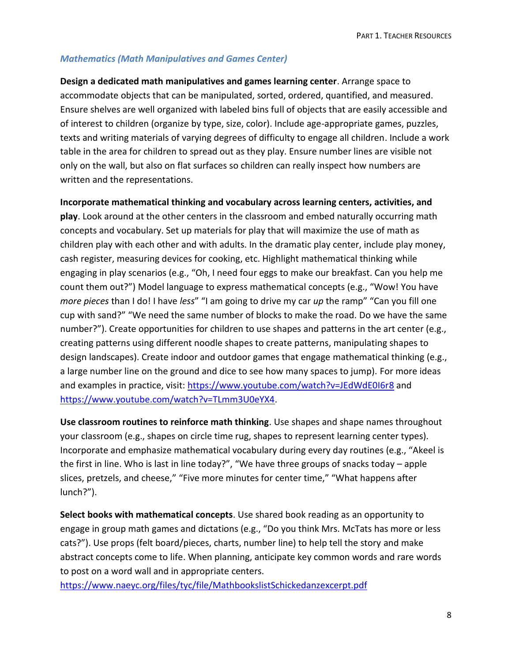#### *Mathematics (Math Manipulatives and Games Center)*

**Design a dedicated math manipulatives and games learning center**. Arrange space to accommodate objects that can be manipulated, sorted, ordered, quantified, and measured. Ensure shelves are well organized with labeled bins full of objects that are easily accessible and of interest to children (organize by type, size, color). Include age-appropriate games, puzzles, texts and writing materials of varying degrees of difficulty to engage all children. Include a work table in the area for children to spread out as they play. Ensure number lines are visible not only on the wall, but also on flat surfaces so children can really inspect how numbers are written and the representations.

**Incorporate mathematical thinking and vocabulary across learning centers, activities, and** 

**play**. Look around at the other centers in the classroom and embed naturally occurring math concepts and vocabulary. Set up materials for play that will maximize the use of math as children play with each other and with adults. In the dramatic play center, include play money, cash register, measuring devices for cooking, etc. Highlight mathematical thinking while engaging in play scenarios (e.g., "Oh, I need four eggs to make our breakfast. Can you help me count them out?") Model language to express mathematical concepts (e.g., "Wow! You have *more pieces* than I do! I have *less*" "I am going to drive my car *up* the ramp" "Can you fill one cup with sand?" "We need the same number of blocks to make the road. Do we have the same number?"). Create opportunities for children to use shapes and patterns in the art center (e.g., creating patterns using different noodle shapes to create patterns, manipulating shapes to design landscapes). Create indoor and outdoor games that engage mathematical thinking (e.g., a large number line on the ground and dice to see how many spaces to jump). For more ideas and examples in practice, visit: <https://www.youtube.com/watch?v=JEdWdE0I6r8> and [https://www.youtube.com/watch?v=TLmm3U0eYX4.](https://www.youtube.com/watch?v=TLmm3U0eYX4)

**Use classroom routines to reinforce math thinking**. Use shapes and shape names throughout your classroom (e.g., shapes on circle time rug, shapes to represent learning center types). Incorporate and emphasize mathematical vocabulary during every day routines (e.g., "Akeel is the first in line. Who is last in line today?", "We have three groups of snacks today – apple slices, pretzels, and cheese," "Five more minutes for center time," "What happens after lunch?").

**Select books with mathematical concepts**. Use shared book reading as an opportunity to engage in group math games and dictations (e.g., "Do you think Mrs. McTats has more or less cats?"). Use props (felt board/pieces, charts, number line) to help tell the story and make abstract concepts come to life. When planning, anticipate key common words and rare words to post on a word wall and in appropriate centers.

<https://www.naeyc.org/files/tyc/file/MathbookslistSchickedanzexcerpt.pdf>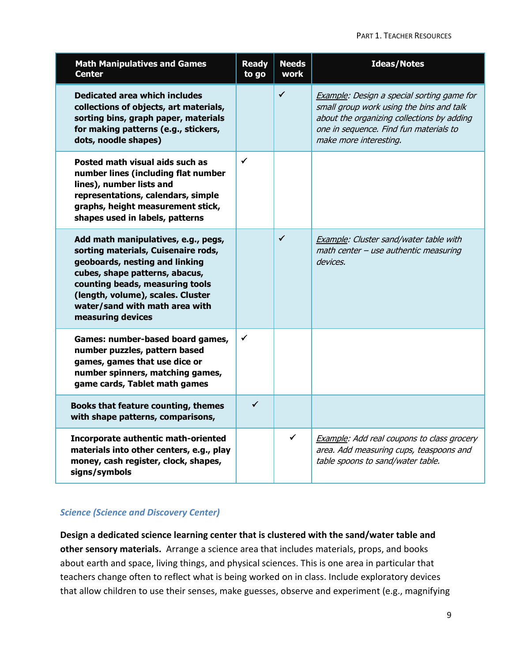#### PART 1. TEACHER RESOURCES

| <b>Math Manipulatives and Games</b><br><b>Center</b>                                                                                                                                                                                                                          | <b>Ready</b><br>to go | <b>Needs</b><br>work | <b>Ideas/Notes</b>                                                                                                                                                                                       |
|-------------------------------------------------------------------------------------------------------------------------------------------------------------------------------------------------------------------------------------------------------------------------------|-----------------------|----------------------|----------------------------------------------------------------------------------------------------------------------------------------------------------------------------------------------------------|
| <b>Dedicated area which includes</b><br>collections of objects, art materials,<br>sorting bins, graph paper, materials<br>for making patterns (e.g., stickers,<br>dots, noodle shapes)                                                                                        |                       | $\checkmark$         | Example: Design a special sorting game for<br>small group work using the bins and talk<br>about the organizing collections by adding<br>one in sequence. Find fun materials to<br>make more interesting. |
| Posted math visual aids such as<br>number lines (including flat number<br>lines), number lists and<br>representations, calendars, simple<br>graphs, height measurement stick,<br>shapes used in labels, patterns                                                              | $\checkmark$          |                      |                                                                                                                                                                                                          |
| Add math manipulatives, e.g., pegs,<br>sorting materials, Cuisenaire rods,<br>geoboards, nesting and linking<br>cubes, shape patterns, abacus,<br>counting beads, measuring tools<br>(length, volume), scales. Cluster<br>water/sand with math area with<br>measuring devices |                       | $\checkmark$         | Example: Cluster sand/water table with<br>math center - use authentic measuring<br>devices.                                                                                                              |
| Games: number-based board games,<br>number puzzles, pattern based<br>games, games that use dice or<br>number spinners, matching games,<br>game cards, Tablet math games                                                                                                       | $\checkmark$          |                      |                                                                                                                                                                                                          |
| Books that feature counting, themes<br>with shape patterns, comparisons,                                                                                                                                                                                                      | ✓                     |                      |                                                                                                                                                                                                          |
| Incorporate authentic math-oriented<br>materials into other centers, e.g., play<br>money, cash register, clock, shapes,<br>signs/symbols                                                                                                                                      |                       | $\checkmark$         | <b>Example:</b> Add real coupons to class grocery<br>area. Add measuring cups, teaspoons and<br>table spoons to sand/water table.                                                                        |

#### *Science (Science and Discovery Center)*

**Design a dedicated science learning center that is clustered with the sand/water table and other sensory materials.** Arrange a science area that includes materials, props, and books about earth and space, living things, and physical sciences. This is one area in particular that teachers change often to reflect what is being worked on in class. Include exploratory devices that allow children to use their senses, make guesses, observe and experiment (e.g., magnifying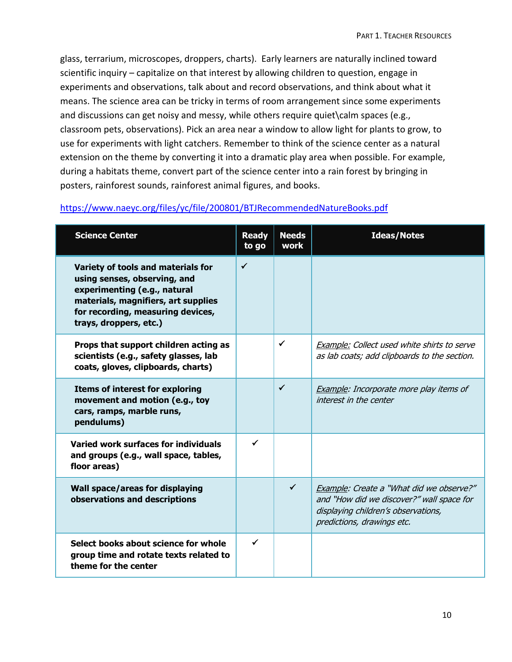glass, terrarium, microscopes, droppers, charts). Early learners are naturally inclined toward scientific inquiry – capitalize on that interest by allowing children to question, engage in experiments and observations, talk about and record observations, and think about what it means. The science area can be tricky in terms of room arrangement since some experiments and discussions can get noisy and messy, while others require quiet\calm spaces (e.g., classroom pets, observations). Pick an area near a window to allow light for plants to grow, to use for experiments with light catchers. Remember to think of the science center as a natural extension on the theme by converting it into a dramatic play area when possible. For example, during a habitats theme, convert part of the science center into a rain forest by bringing in posters, rainforest sounds, rainforest animal figures, and books.

#### <https://www.naeyc.org/files/yc/file/200801/BTJRecommendedNatureBooks.pdf>

| <b>Science Center</b>                                                                                                                                                                                    | <b>Ready</b><br>to go | <b>Needs</b><br><b>work</b> | <b>Ideas/Notes</b>                                                                                                                                         |
|----------------------------------------------------------------------------------------------------------------------------------------------------------------------------------------------------------|-----------------------|-----------------------------|------------------------------------------------------------------------------------------------------------------------------------------------------------|
| Variety of tools and materials for<br>using senses, observing, and<br>experimenting (e.g., natural<br>materials, magnifiers, art supplies<br>for recording, measuring devices,<br>trays, droppers, etc.) | $\checkmark$          |                             |                                                                                                                                                            |
| Props that support children acting as<br>scientists (e.g., safety glasses, lab<br>coats, gloves, clipboards, charts)                                                                                     |                       | $\checkmark$                | Example: Collect used white shirts to serve<br>as lab coats; add clipboards to the section.                                                                |
| <b>Items of interest for exploring</b><br>movement and motion (e.g., toy<br>cars, ramps, marble runs,<br>pendulums)                                                                                      |                       | ✓                           | <b>Example:</b> Incorporate more play items of<br>interest in the center                                                                                   |
| Varied work surfaces for individuals<br>and groups (e.g., wall space, tables,<br>floor areas)                                                                                                            | $\checkmark$          |                             |                                                                                                                                                            |
| Wall space/areas for displaying<br>observations and descriptions                                                                                                                                         |                       | $\checkmark$                | Example: Create a "What did we observe?"<br>and "How did we discover?" wall space for<br>displaying children's observations,<br>predictions, drawings etc. |
| Select books about science for whole<br>group time and rotate texts related to<br>theme for the center                                                                                                   | ✓                     |                             |                                                                                                                                                            |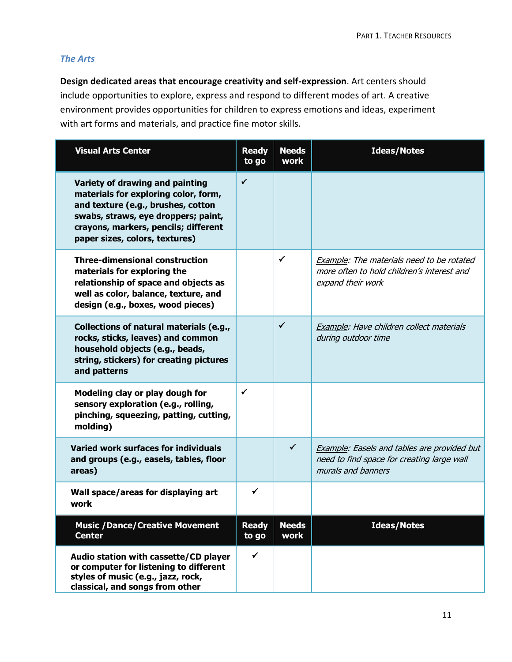#### *The Arts*

**Design dedicated areas that encourage creativity and self-expression**. Art centers should include opportunities to explore, express and respond to different modes of art. A creative environment provides opportunities for children to express emotions and ideas, experiment with art forms and materials, and practice fine motor skills.

| <b>Visual Arts Center</b>                                                                                                                                                                                                      | <b>Ready</b><br>to go | <b>Needs</b><br>work | <b>Ideas/Notes</b>                                                                                                     |
|--------------------------------------------------------------------------------------------------------------------------------------------------------------------------------------------------------------------------------|-----------------------|----------------------|------------------------------------------------------------------------------------------------------------------------|
| Variety of drawing and painting<br>materials for exploring color, form,<br>and texture (e.g., brushes, cotton<br>swabs, straws, eye droppers; paint,<br>crayons, markers, pencils; different<br>paper sizes, colors, textures) | $\checkmark$          |                      |                                                                                                                        |
| <b>Three-dimensional construction</b><br>materials for exploring the<br>relationship of space and objects as<br>well as color, balance, texture, and<br>design (e.g., boxes, wood pieces)                                      |                       | ✓                    | Example: The materials need to be rotated<br>more often to hold children's interest and<br>expand their work           |
| Collections of natural materials (e.g.,<br>rocks, sticks, leaves) and common<br>household objects (e.g., beads,<br>string, stickers) for creating pictures<br>and patterns                                                     |                       | $\checkmark$         | Example: Have children collect materials<br>during outdoor time                                                        |
| Modeling clay or play dough for<br>sensory exploration (e.g., rolling,<br>pinching, squeezing, patting, cutting,<br>molding)                                                                                                   | ✓                     |                      |                                                                                                                        |
| Varied work surfaces for individuals<br>and groups (e.g., easels, tables, floor<br>areas)                                                                                                                                      |                       | ✓                    | <b>Example: Easels and tables are provided but</b><br>need to find space for creating large wall<br>murals and banners |
| Wall space/areas for displaying art<br>work                                                                                                                                                                                    | ✓                     |                      |                                                                                                                        |
| <b>Music / Dance/ Creative Movement</b><br><b>Center</b>                                                                                                                                                                       | <b>Ready</b><br>to go | <b>Needs</b><br>work | <b>Ideas/Notes</b>                                                                                                     |
| Audio station with cassette/CD player<br>or computer for listening to different<br>styles of music (e.g., jazz, rock,<br>classical, and songs from other                                                                       | $\checkmark$          |                      |                                                                                                                        |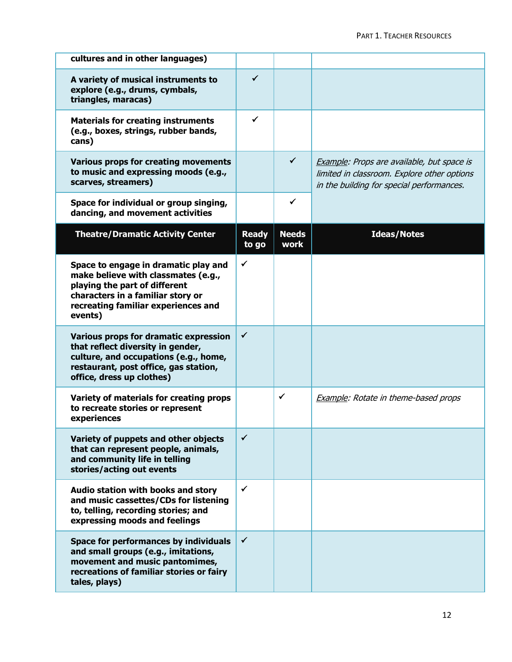| cultures and in other languages)                                                                                                                                                                    |                       |                      |                                                                                                                                        |
|-----------------------------------------------------------------------------------------------------------------------------------------------------------------------------------------------------|-----------------------|----------------------|----------------------------------------------------------------------------------------------------------------------------------------|
|                                                                                                                                                                                                     |                       |                      |                                                                                                                                        |
| A variety of musical instruments to<br>explore (e.g., drums, cymbals,<br>triangles, maracas)                                                                                                        | ✓                     |                      |                                                                                                                                        |
| <b>Materials for creating instruments</b><br>(e.g., boxes, strings, rubber bands,<br>cans)                                                                                                          | ✓                     |                      |                                                                                                                                        |
| <b>Various props for creating movements</b><br>to music and expressing moods (e.g.,<br>scarves, streamers)                                                                                          |                       | $\checkmark$         | Example: Props are available, but space is<br>limited in classroom. Explore other options<br>in the building for special performances. |
| Space for individual or group singing,<br>dancing, and movement activities                                                                                                                          |                       | $\checkmark$         |                                                                                                                                        |
| <b>Theatre/Dramatic Activity Center</b>                                                                                                                                                             | <b>Ready</b><br>to go | <b>Needs</b><br>work | <b>Ideas/Notes</b>                                                                                                                     |
| Space to engage in dramatic play and<br>make believe with classmates (e.g.,<br>playing the part of different<br>characters in a familiar story or<br>recreating familiar experiences and<br>events) | ✓                     |                      |                                                                                                                                        |
| Various props for dramatic expression<br>that reflect diversity in gender,<br>culture, and occupations (e.g., home,<br>restaurant, post office, gas station,<br>office, dress up clothes)           | ✓                     |                      |                                                                                                                                        |
| Variety of materials for creating props<br>to recreate stories or represent<br>experiences                                                                                                          |                       | ✓                    | <b>Example:</b> Rotate in theme-based props                                                                                            |
| Variety of puppets and other objects<br>that can represent people, animals,<br>and community life in telling<br>stories/acting out events                                                           | $\checkmark$          |                      |                                                                                                                                        |
| Audio station with books and story<br>and music cassettes/CDs for listening<br>to, telling, recording stories; and<br>expressing moods and feelings                                                 | ✓                     |                      |                                                                                                                                        |
| Space for performances by individuals<br>and small groups (e.g., imitations,<br>movement and music pantomimes,<br>recreations of familiar stories or fairy<br>tales, plays)                         | ✓                     |                      |                                                                                                                                        |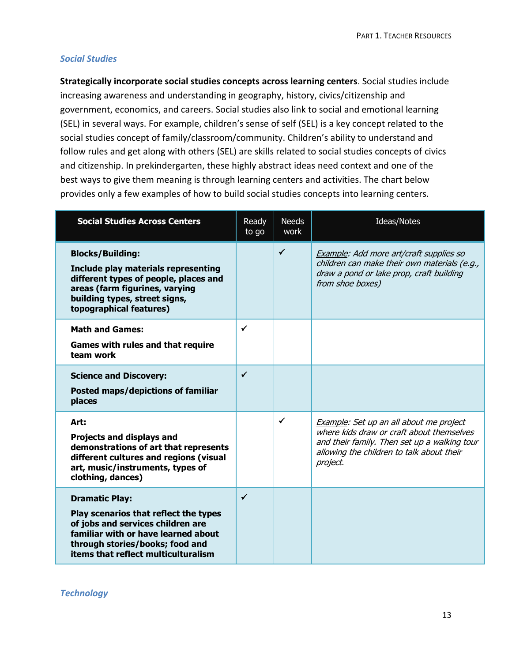#### *Social Studies*

**Strategically incorporate social studies concepts across learning centers**. Social studies include increasing awareness and understanding in geography, history, civics/citizenship and government, economics, and careers. Social studies also link to social and emotional learning (SEL) in several ways. For example, children's sense of self (SEL) is a key concept related to the social studies concept of family/classroom/community. Children's ability to understand and follow rules and get along with others (SEL) are skills related to social studies concepts of civics and citizenship. In prekindergarten, these highly abstract ideas need context and one of the best ways to give them meaning is through learning centers and activities. The chart below provides only a few examples of how to build social studies concepts into learning centers.

| <b>Social Studies Across Centers</b>                                                                                                                                                                                 | Ready<br>to go | <b>Needs</b><br>work | Ideas/Notes                                                                                                                                                                                   |
|----------------------------------------------------------------------------------------------------------------------------------------------------------------------------------------------------------------------|----------------|----------------------|-----------------------------------------------------------------------------------------------------------------------------------------------------------------------------------------------|
| <b>Blocks/Building:</b><br>Include play materials representing<br>different types of people, places and<br>areas (farm figurines, varying<br>building types, street signs,<br>topographical features)                |                | $\checkmark$         | Example: Add more art/craft supplies so<br>children can make their own materials (e.g.,<br>draw a pond or lake prop, craft building<br>from shoe boxes)                                       |
| <b>Math and Games:</b><br><b>Games with rules and that require</b><br>team work                                                                                                                                      | ✔              |                      |                                                                                                                                                                                               |
| <b>Science and Discovery:</b><br>Posted maps/depictions of familiar<br>places                                                                                                                                        | ✓              |                      |                                                                                                                                                                                               |
| Art:<br><b>Projects and displays and</b><br>demonstrations of art that represents<br>different cultures and regions (visual<br>art, music/instruments, types of<br>clothing, dances)                                 |                | ✓                    | Example: Set up an all about me project<br>where kids draw or craft about themselves<br>and their family. Then set up a walking tour<br>allowing the children to talk about their<br>project. |
| <b>Dramatic Play:</b><br>Play scenarios that reflect the types<br>of jobs and services children are<br>familiar with or have learned about<br>through stories/books; food and<br>items that reflect multiculturalism | ✓              |                      |                                                                                                                                                                                               |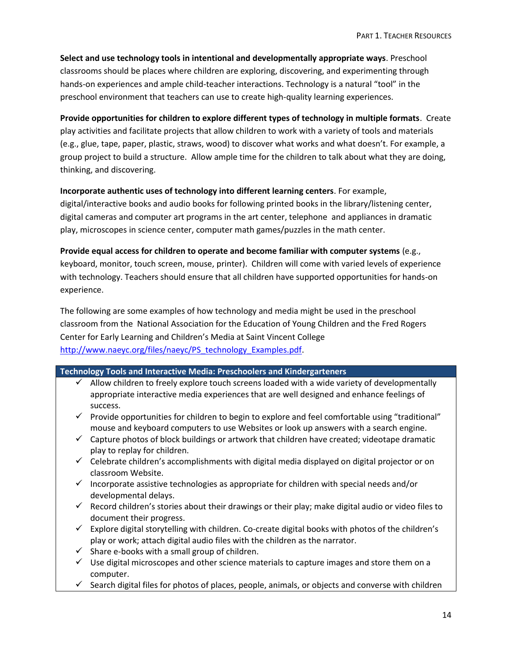**Select and use technology tools in intentional and developmentally appropriate ways**. Preschool classrooms should be places where children are exploring, discovering, and experimenting through hands-on experiences and ample child-teacher interactions. Technology is a natural "tool" in the preschool environment that teachers can use to create high-quality learning experiences.

**Provide opportunities for children to explore different types of technology in multiple formats**. Create play activities and facilitate projects that allow children to work with a variety of tools and materials (e.g., glue, tape, paper, plastic, straws, wood) to discover what works and what doesn't. For example, a group project to build a structure. Allow ample time for the children to talk about what they are doing, thinking, and discovering.

#### **Incorporate authentic uses of technology into different learning centers**. For example,

digital/interactive books and audio books for following printed books in the library/listening center, digital cameras and computer art programs in the art center, telephone and appliances in dramatic play, microscopes in science center, computer math games/puzzles in the math center.

**Provide equal access for children to operate and become familiar with computer systems** (e.g., keyboard, monitor, touch screen, mouse, printer). Children will come with varied levels of experience with technology. Teachers should ensure that all children have supported opportunities for hands-on experience.

The following are some examples of how technology and media might be used in the preschool classroom from the National Association for the Education of Young Children and the Fred Rogers Center for Early Learning and Children's Media at Saint Vincent College [http://www.naeyc.org/files/naeyc/PS\\_technology\\_Examples.pdf.](http://www.naeyc.org/files/naeyc/PS_technology_Examples.pdf)

#### **Technology Tools and Interactive Media: Preschoolers and Kindergarteners**

- $\checkmark$  Allow children to freely explore touch screens loaded with a wide variety of developmentally appropriate interactive media experiences that are well designed and enhance feelings of success.
- $\checkmark$  Provide opportunities for children to begin to explore and feel comfortable using "traditional" mouse and keyboard computers to use Websites or look up answers with a search engine.
- $\checkmark$  Capture photos of block buildings or artwork that children have created; videotape dramatic play to replay for children.
- $\checkmark$  Celebrate children's accomplishments with digital media displayed on digital projector or on classroom Website.
- Incorporate assistive technologies as appropriate for children with special needs and/or developmental delays.
- $\checkmark$  Record children's stories about their drawings or their play; make digital audio or video files to document their progress.
- $\checkmark$  Explore digital storytelling with children. Co-create digital books with photos of the children's play or work; attach digital audio files with the children as the narrator.
- $\checkmark$  Share e-books with a small group of children.
- $\checkmark$  Use digital microscopes and other science materials to capture images and store them on a computer.
- $\checkmark$  Search digital files for photos of places, people, animals, or objects and converse with children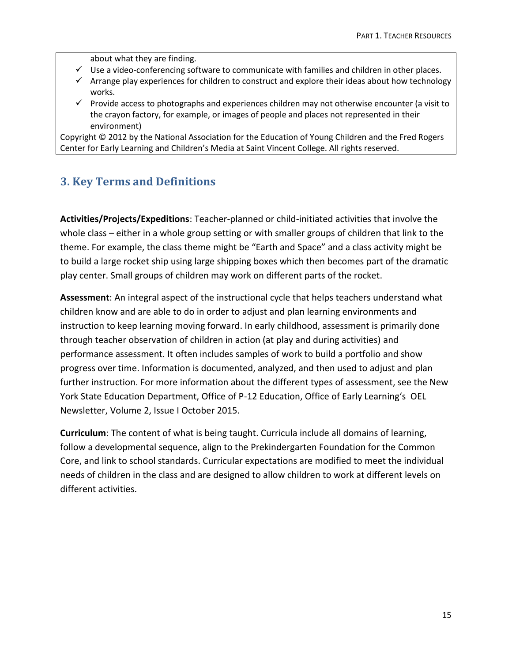about what they are finding.

- $\checkmark$  Use a video-conferencing software to communicate with families and children in other places.
- $\checkmark$  Arrange play experiences for children to construct and explore their ideas about how technology works.
- $\checkmark$  Provide access to photographs and experiences children may not otherwise encounter (a visit to the crayon factory, for example, or images of people and places not represented in their environment)

Copyright © 2012 by the National Association for the Education of Young Children and the Fred Rogers Center for Early Learning and Children's Media at Saint Vincent College. All rights reserved.

# **3. Key Terms and Definitions**

**Activities/Projects/Expeditions**: Teacher-planned or child-initiated activities that involve the whole class – either in a whole group setting or with smaller groups of children that link to the theme. For example, the class theme might be "Earth and Space" and a class activity might be to build a large rocket ship using large shipping boxes which then becomes part of the dramatic play center. Small groups of children may work on different parts of the rocket.

**Assessment**: An integral aspect of the instructional cycle that helps teachers understand what children know and are able to do in order to adjust and plan learning environments and instruction to keep learning moving forward. In early childhood, assessment is primarily done through teacher observation of children in action (at play and during activities) and performance assessment. It often includes samples of work to build a portfolio and show progress over time. Information is documented, analyzed, and then used to adjust and plan further instruction. For more information about the different types of assessment, see the New York State Education Department, Office of P-12 Education, Office of Early Learning's OEL Newsletter, Volume 2, Issue I October 2015.

**Curriculum**: The content of what is being taught. Curricula include all domains of learning, follow a developmental sequence, align to the Prekindergarten Foundation for the Common Core, and link to school standards. Curricular expectations are modified to meet the individual needs of children in the class and are designed to allow children to work at different levels on different activities.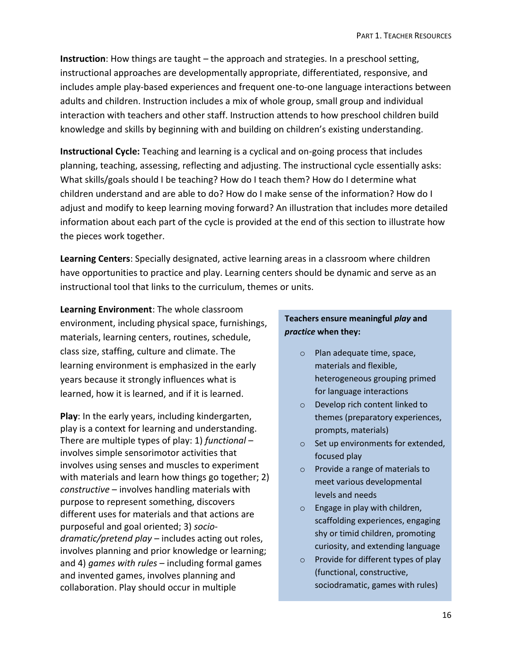**Instruction**: How things are taught – the approach and strategies. In a preschool setting, instructional approaches are developmentally appropriate, differentiated, responsive, and includes ample play-based experiences and frequent one-to-one language interactions between adults and children. Instruction includes a mix of whole group, small group and individual interaction with teachers and other staff. Instruction attends to how preschool children build knowledge and skills by beginning with and building on children's existing understanding.

**Instructional Cycle:** Teaching and learning is a cyclical and on-going process that includes planning, teaching, assessing, reflecting and adjusting. The instructional cycle essentially asks: What skills/goals should I be teaching? How do I teach them? How do I determine what children understand and are able to do? How do I make sense of the information? How do I adjust and modify to keep learning moving forward? An illustration that includes more detailed information about each part of the cycle is provided at the end of this section to illustrate how the pieces work together.

**Learning Centers**: Specially designated, active learning areas in a classroom where children have opportunities to practice and play. Learning centers should be dynamic and serve as an instructional tool that links to the curriculum, themes or units.

**Learning Environment**: The whole classroom environment, including physical space, furnishings, materials, learning centers, routines, schedule, class size, staffing, culture and climate. The learning environment is emphasized in the early years because it strongly influences what is learned, how it is learned, and if it is learned.

**Play**: In the early years, including kindergarten, play is a context for learning and understanding. There are multiple types of play: 1) *functional* – involves simple sensorimotor activities that involves using senses and muscles to experiment with materials and learn how things go together; 2) *constructive* – involves handling materials with purpose to represent something, discovers different uses for materials and that actions are purposeful and goal oriented; 3) *sociodramatic/pretend play* – includes acting out roles, involves planning and prior knowledge or learning; and 4) *games with rules* – including formal games and invented games, involves planning and collaboration. Play should occur in multiple

# **Teachers ensure meaningful** *play* **and**  *practice* **when they:**

- o Plan adequate time, space, materials and flexible, heterogeneous grouping primed for language interactions
- o Develop rich content linked to themes (preparatory experiences, prompts, materials)
- o Set up environments for extended, focused play
- o Provide a range of materials to meet various developmental levels and needs
- o Engage in play with children, scaffolding experiences, engaging shy or timid children, promoting curiosity, and extending language
- o Provide for different types of play (functional, constructive, sociodramatic, games with rules)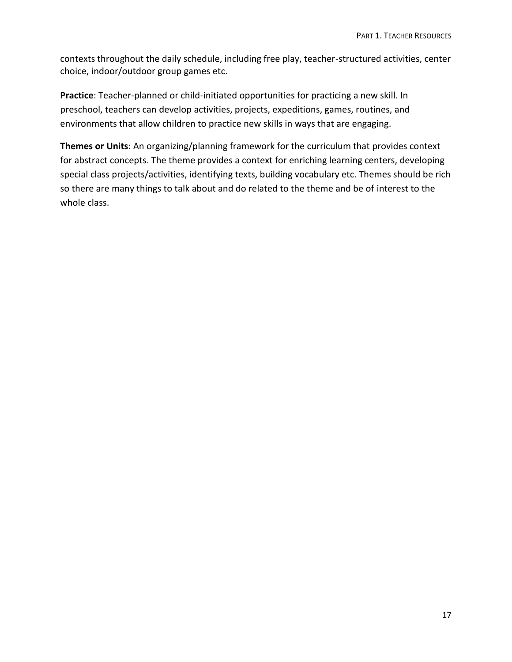contexts throughout the daily schedule, including free play, teacher-structured activities, center choice, indoor/outdoor group games etc.

**Practice**: Teacher-planned or child-initiated opportunities for practicing a new skill. In preschool, teachers can develop activities, projects, expeditions, games, routines, and environments that allow children to practice new skills in ways that are engaging.

**Themes or Units**: An organizing/planning framework for the curriculum that provides context for abstract concepts. The theme provides a context for enriching learning centers, developing special class projects/activities, identifying texts, building vocabulary etc. Themes should be rich so there are many things to talk about and do related to the theme and be of interest to the whole class.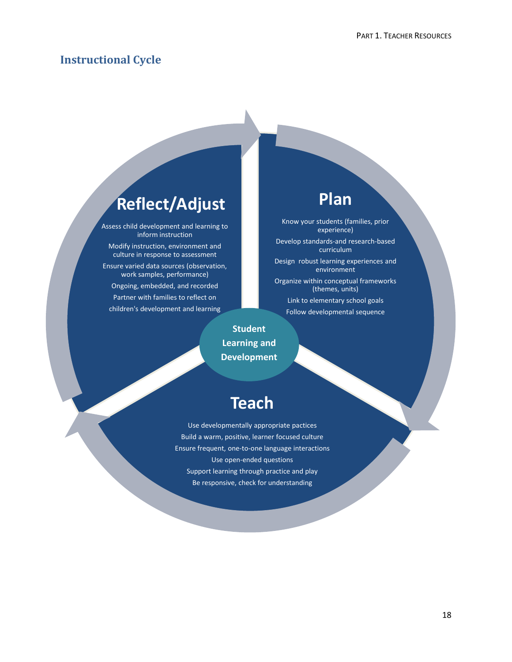# **Instructional Cycle**

# **Reflect/Adjust**

Assess child development and learning to inform instruction Modify instruction, environment and

culture in response to assessment Ensure varied data sources (observation, work samples, performance) Ongoing, embedded, and recorded Partner with families to reflect on children's development and learning

# **Plan**

Know your students (families, prior experience) Develop standards-and research-based curriculum Design robust learning experiences and environment Organize within conceptual frameworks (themes, units) Link to elementary school goals Follow developmental sequence

**Student Learning and Development**

# **Teach**

Use developmentally appropriate pactices Build a warm, positive, learner focused culture Ensure frequent, one-to-one language interactions Use open-ended questions Support learning through practice and play Be responsive, check for understanding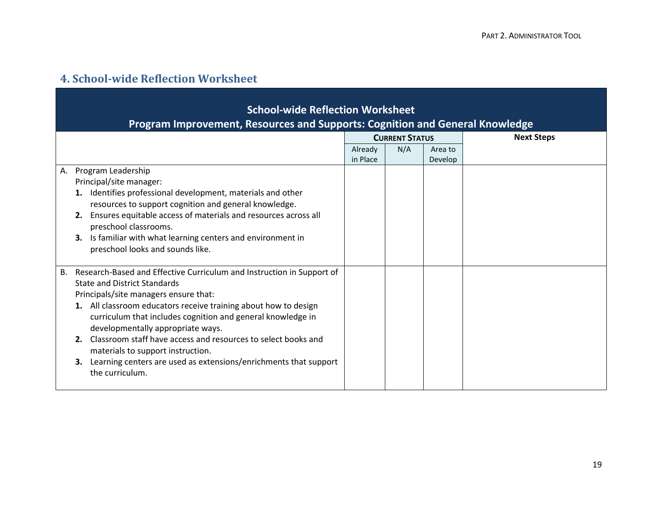# **4. School-wide Reflection Worksheet**

| <b>School-wide Reflection Worksheet</b>                                                                                                                                                                                                                                                                                                                                                                                                                                                                                                  |                     |                           |                   |  |
|------------------------------------------------------------------------------------------------------------------------------------------------------------------------------------------------------------------------------------------------------------------------------------------------------------------------------------------------------------------------------------------------------------------------------------------------------------------------------------------------------------------------------------------|---------------------|---------------------------|-------------------|--|
| Program Improvement, Resources and Supports: Cognition and General Knowledge                                                                                                                                                                                                                                                                                                                                                                                                                                                             |                     |                           |                   |  |
|                                                                                                                                                                                                                                                                                                                                                                                                                                                                                                                                          |                     | <b>CURRENT STATUS</b>     | <b>Next Steps</b> |  |
|                                                                                                                                                                                                                                                                                                                                                                                                                                                                                                                                          | Already<br>in Place | N/A<br>Area to<br>Develop |                   |  |
| Program Leadership<br>А.<br>Principal/site manager:<br>1. Identifies professional development, materials and other<br>resources to support cognition and general knowledge.<br>2. Ensures equitable access of materials and resources across all<br>preschool classrooms.<br>Is familiar with what learning centers and environment in<br>3.<br>preschool looks and sounds like.                                                                                                                                                         |                     |                           |                   |  |
| Research-Based and Effective Curriculum and Instruction in Support of<br>В.<br><b>State and District Standards</b><br>Principals/site managers ensure that:<br>1. All classroom educators receive training about how to design<br>curriculum that includes cognition and general knowledge in<br>developmentally appropriate ways.<br>2. Classroom staff have access and resources to select books and<br>materials to support instruction.<br>Learning centers are used as extensions/enrichments that support<br>3.<br>the curriculum. |                     |                           |                   |  |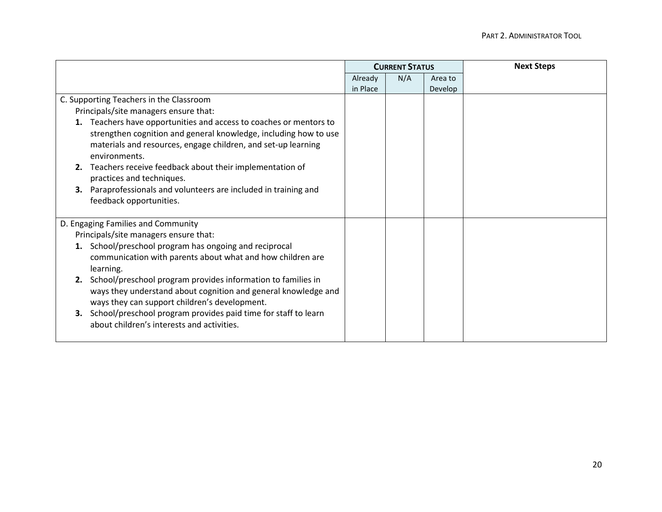|                                                                      | <b>CURRENT STATUS</b> |     |         | <b>Next Steps</b> |
|----------------------------------------------------------------------|-----------------------|-----|---------|-------------------|
|                                                                      | Already               | N/A | Area to |                   |
|                                                                      | in Place              |     | Develop |                   |
| C. Supporting Teachers in the Classroom                              |                       |     |         |                   |
| Principals/site managers ensure that:                                |                       |     |         |                   |
| Teachers have opportunities and access to coaches or mentors to      |                       |     |         |                   |
| strengthen cognition and general knowledge, including how to use     |                       |     |         |                   |
| materials and resources, engage children, and set-up learning        |                       |     |         |                   |
| environments.                                                        |                       |     |         |                   |
| Teachers receive feedback about their implementation of<br>2.        |                       |     |         |                   |
| practices and techniques.                                            |                       |     |         |                   |
| Paraprofessionals and volunteers are included in training and<br>3.  |                       |     |         |                   |
| feedback opportunities.                                              |                       |     |         |                   |
|                                                                      |                       |     |         |                   |
| D. Engaging Families and Community                                   |                       |     |         |                   |
| Principals/site managers ensure that:                                |                       |     |         |                   |
| School/preschool program has ongoing and reciprocal                  |                       |     |         |                   |
| communication with parents about what and how children are           |                       |     |         |                   |
| learning.                                                            |                       |     |         |                   |
| School/preschool program provides information to families in<br>2.   |                       |     |         |                   |
| ways they understand about cognition and general knowledge and       |                       |     |         |                   |
| ways they can support children's development.                        |                       |     |         |                   |
| School/preschool program provides paid time for staff to learn<br>3. |                       |     |         |                   |
| about children's interests and activities.                           |                       |     |         |                   |
|                                                                      |                       |     |         |                   |